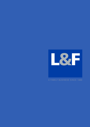

### A FAMILY BUSINESS SINCE 1889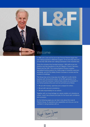

## Welcome

In 1889 John Lowe and his son-in-law Thomas Fletcher began their lock making business in Willenhall, England. At the time they were one of more than 300 similar lock making businesses in this industrial area.

Today the company they founded employs 1,000 staff across two divisions and has operations in the UK, Belgium, France, Germany, Poland and the USA. The Locking Systems Division supplies specialised locking systems for a wide range of industrial customers worldwide, and the Fire Safety Division focusses on smoke and fire curtains for buildings.

The Group has come a long way since 1889 yet it is still a family business with strong family values. As the fifth generation of my family to lead the business I believe these values are embedded in our family business ethos and can be summed up as follows:

- We act with honesty, openness and a respect for others;
- We act with care and consistency;
- We take responsibility for our actions.

Together with our long heritage our values enable us to develop as a team, invent new products and plan for the future with confidence and conviction.

On the following pages you can learn more about the Lowe & Fletcher Group, its operations and capabilities and why you can be confident in doing business with us.

Hugh Trever-Jones

Hugh Trevor-Jones DL, Chairman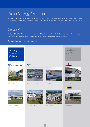## Group Strategy Statement

A long-term Family Business designing and making innovative, bespoke and well-engineered Locking Systems for industry and Smoke and Fire Curtains for buildings. We aim for profitable growth by meeting the needs of our customers worldwide.

## Group Profile

The Lowe & Fletcher Group is a family owned industrial business founded in 1889. Our two diversified divisions design, manufacture and supply innovative security and safety products and services around the world.

Our operations are organised as follows:

**Locking Systems** Division



Wednesbury, UK

### **EURO-LOCKS**



Bastogne, Belgium



Folschviller, France Havant, UK













Norton Shores, USA



Sulzbach, Germany Ruda, Poland Sheffield, UK



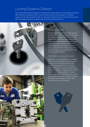## Locking Systems Division

The Locking Systems Division designs and manufactures locking systems for a broad range of industrial OEM customers worldwide through our Lowe & Fletcher and Euro-Locks operations. The division supplies over 60 million products annually, from precision mechanical locks to the latest electronic locks with many bespoke solutions, enabling us to meet diverse locking requirements.





## Product Diversity

Our locks can be found on the widest range of end uses across a broad global customer base. We supply locking systems for office furniture, lockers, electrical and mechanical enclosures, safes, automotive accessories, caravans, cash machines, bicycles, windows, doors, heavy duty vehicles and postal boxes to name some of our markets. We often mark our keys with our customer's logo so you are likely to have used our locks without realising it.

### The Right Locking Solutions

Regardless of use or requirement our qualified Research and Development Design Engineers and Technical Product Managers can tailor specific locking products to our customers' needs. Whether it's a standard locking system, an adapted design or a totally bespoke solution we are able to develop products to meet all locking needs, combining our experience along with a passion for product innovation. Whatever the solution we can supply in small or large volumes from our own operations.

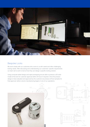

### Bespoke Locks

We work closely with our customers who come to us with varied and often challenging locking needs. After discussing and understanding our customers' specific requirements our team set to work to look at how they can design a specific locking solution.

Using computer-aided design and rapid prototyping we are able to produce a 3D solid model of the lock for customer approval within 24 hours if required. Once the product design is fully evaluated and approved by the customer we produce off-tool samples for final approval, before volume manufacturing begins in one of our operations.

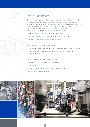### Precision Manufacturing

Our six production operations offer flexible manufacturing of our locking systems utilising advanced primary and secondary processes. Automation plays a critical role in our precision manufacturing and a highly skilled workforce provides many years of experience in the final assembly of our products. This combined approach ensures quality is maintained throughout the process, which is also backed up by full accreditation to BS EN ISO 9001 quality and BS EN 14001 environmental standards.

- Our manufacturing sites are modern and highly efficient.
- We invest in the latest machinery to improve productivity and quality.
- We have our own in-house tool manufacturing facilities.

Our primary manufacturing processes include:

- e 9 O/C 3 O/C 3 O/C 3 O/C 3 O/C 3 O/C 3 O/C 3 O/C 3 O/C 3 O/C 3 O/C 3 O/C 3 O/C 3 O/C 3 O/C 3 O/C 3 O/C 3 O/C 3 O/C 3 O/C 3 O/C 3 O/C 3 O/C 3 O/C 3 O/C 3 O/C 3 O/C 3 O/C 3 O/C 3 O/C 3 O/C 3 O/C 3 O/C 3 O/C 3 O/C 3 O/C 3 O/
	- High speed pressing of precision tumblers, keys, cams, bodies and many more components.

Our secondary manufacturing processes include:

- Advanced CNC cutting, bitting and fluting processes;
- Laser marking;
- Dedicated plating and painting lines for standard and custom finishes;
- State of the art PCB assembly line.

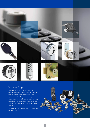

### Customer Support

Once manufacturing is completed it is over to our dedicated Customer Service teams to expediently despatch orders with care and to the exact requirements of each customer. Using our own transport, customer collection or, more normally, national and international carrier networks, we ensure our products are delivered safely around the world.

From initial order enquiry through to despatch we are here to help.

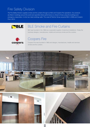# Fire Safety Division

The Fire Safety Division supplies smoke and fire curtains through our BLE and Coopers Fire operations. Our products are fitted in buildings around the world and specified where performance is critical to those using the buildings and emergency responders. In short we make buildings safer. The Lowe & Fletcher Group acquired BLE in 2006 and Coopers Fire in 2014.



## BLE Smoke and Fire Curtains

BLE was founded in the 1960s as a specialist supplier of electrical installations. Today the business designs, manufactures, installs and services smoke and fire curtains.



## Coopers Fire

Coopers Fire was founded in 1983 and designs, manufactures, installs and services smoke and fire curtains.





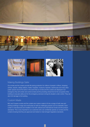



### Making Buildings Safer

Our smoke and fire curtains provide life-saving protection for millions of people in offices, shopping centres, airports, railway stations, hotels, hospitals, museums, factories, warehouses and many other public spaces around the world. In the event that our smoke and fire curtains are deployed in an emergency they will contain and control smoke and fire providing critical time for the occupants of the building to evacuate safely and for the emergency services to bring the situation under control. They can also limit damage to the building.

### Custom Made

BLE and Coopers smoke and fire curtains are custom made to fit into a range of both new and existing buildings in large and small areas as well as challenging spaces such as stairwells. Each curtain is manufactured and installed in line with national and international smoke and fire product standards. This is very important to our customers who can confidently specify our smoke and fire curtains knowing that they are approved and tested to meet stringent legislative standards.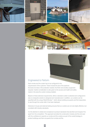









Engineered to Perform

Each smoke and fire curtain has to be configured to the requirements of the customer. These include the size of the aperture, the level of smoke or fire protection needed, the finish and ancillary equipment required. Careful consideration is also given to the access and health and safety needs in the area the curtain is being installed.

Based on these extensive requirements, either a standard curtain is selected and configured to size or a bespoke solution is designed and manufactured. In addition, our curtains can be specified with the unique ResQ-Window™ which allows building occupants and first responders to see through the curtain after it has been deployed.

Extensive in-house and external testing ensures that our curtains are not only highly effective, but compliant with industry standards.

It is the attention to detail and compliance to product standards that sets BLE and Coopers Fire apart from the competition. This approach provides the construction industry and the end-user with the confidence to specify our smoke and fire curtains as part of the overall strategy to protect buildings and their occupants from smoke and fire.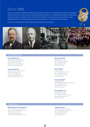## Since 1889

Since our foundation in 1889 the business has grown from its origins as a small family lock maker into a diversified international group. We have gone from making handmade products to our highly flexible precision manufacturing expertise of today. The spirit of John Lowe and Thomas Fletcher carries on today as we continue to make well-engineered and innovative products that meet the needs of our customers around the world.

To find out more about the Lowe & Fletcher Group please visit our website.







**Wednesbury** factory 1998

Handmade Padlock 1902

ance.

#### Locking Systems Division

#### **Lowe & Fletcher Ltd**

Moorcroft Drive, Wednesbury West Midlands, WS10 7DE, UK Tel: +44 (0)121 505 0400 sales@lowe-and-fletcher.co.uk www.lowe-and-fletcher.co.uk

#### **Lowe & Fletcher Inc**

650 Airport Place, Norton Shores MI-49441, Michigan, USA Tel: +1 (0) 616 994 0490 sales@loweandfletcherinc.com www.loweandfletcherinc.com

#### **Euro-Locks SA NV**

8 Rue de la Fontaine B6600 Bastogne, Belgium Tel: +32 (0)61 212 261 sales@euro-locks.be www.euro-locks.be

### **Euro-Locks SA**

1 Rue du Stade F-57730 Folschviller, France Tel: +33 (0)3 87 92 61 11 euro-locks@euro-locks.fr www.euro-locks.fr

### **Euro-Locks GmbH**

Am Bruchwald 22 D-66280 Sulzbach/Neuweiler, Germany Tel: +49 (0)6897 9072 0 vertrieb@euro-locks.de www.euro-locks.de

#### **Euro-Locks Sp. zo. o**

ul. Pawła 29, 41-708, Ruda Śląska, Poland Tel: +48 (32) 344-78-70, -82, -84 sekretariat@euro-locks.pl www.euro-locks.pl

Fire Safety Division

#### **BLE Smoke and Fire Curtains Ltd**

Unit 3, Holbrook Commerce Park Holbrook Rise, Sheffield, S20 3FJ UK Tel: +44 (0)114 251 4703 enquiries@blecurtains.com www.ble-smokeandfirecurtains.com

#### **Coopers Fire Ltd**

Edward House, Penner Road Havant, Hampshire, PO9 1QZ, UK Tel: +44 (0)2392 454 405 info@coopersfire.com www.coopersfire.com